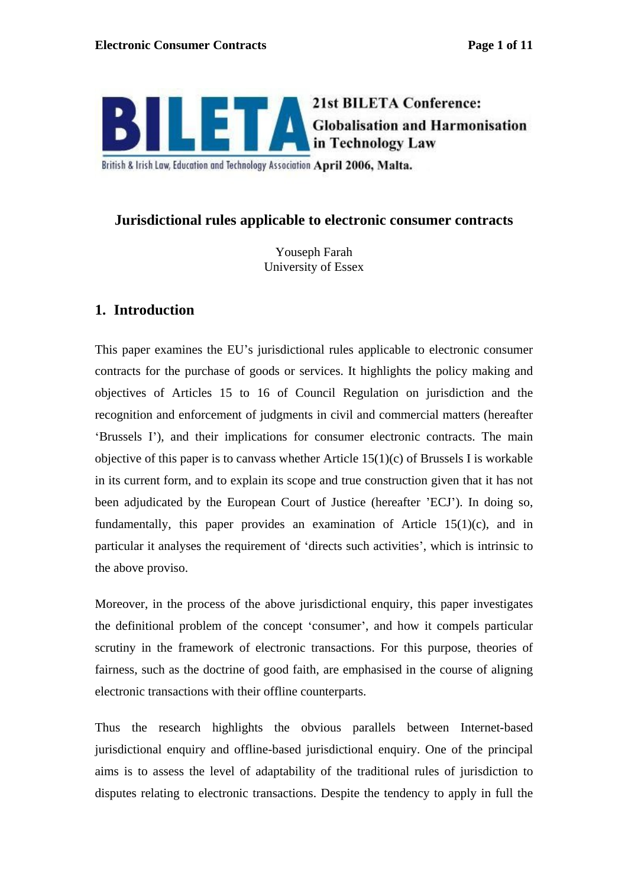

British & Irish Law, Education and Technology Association April 2006, Malta.

## **Jurisdictional rules applicable to electronic consumer contracts**

Youseph Farah University of Essex

# **1. Introduction**

This paper examines the EU's jurisdictional rules applicable to electronic consumer contracts for the purchase of goods or services. It highlights the policy making and objectives of Articles 15 to 16 of Council Regulation on jurisdiction and the recognition and enforcement of judgments in civil and commercial matters (hereafter 'Brussels I'), and their implications for consumer electronic contracts. The main objective of this paper is to canvass whether Article  $15(1)(c)$  of Brussels I is workable in its current form, and to explain its scope and true construction given that it has not been adjudicated by the European Court of Justice (hereafter 'ECJ'). In doing so, fundamentally, this paper provides an examination of Article 15(1)(c), and in particular it analyses the requirement of directs such activities , which is intrinsic to

the above proviso.<br>Moreover, in the process of the above jurisdictional enquiry, this paper investigates the definitional problem of the concept 'consumer', and how it compels particular scrutiny in the framework of electronic transactions. For this purpose, theories of fairness, such as the doctrine of good faith, are emphasised in the course of aligning electronic transactions with their offline counterparts.

Thus the research highlights the obvious parallels between Internet-based jurisdictional enquiry and offline-based jurisdictional enquiry. One of the principal aims is to assess the level of adaptability of the traditional rules of jurisdiction to disputes relating to electronic transactions. Despite the tendency to apply in full the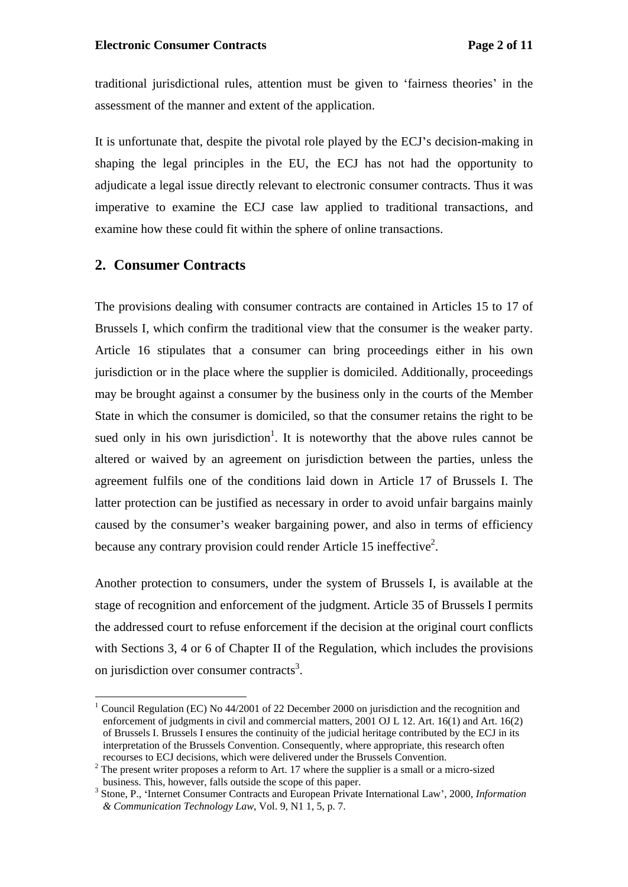traditional jurisdictional rules, attention must be given to 'fairness theories' in the assessment of the manner and extent of the application.

It is unfortunate that, despite the pivotal role played by the ECJ's decision-making in shaping the legal principles in the EU, the ECJ has not had the opportunity to adjudicate a legal issue directly relevant to electronic consumer contracts. Thus it was imperative to examine the ECJ case law applied to traditional transactions, and examine how these could fit within the sphere of online transactions.

### **2. Consumer Contracts**

The provisions dealing with consumer contracts are contained in Articles 15 to 17 of Brussels I, which confirm the traditional view that the consumer is the weaker party. Article 16 stipulates that a consumer can bring proceedings either in his own jurisdiction or in the place where the supplier is domiciled. Additionally, proceedings may be brought against a consumer by the business only in the courts of the Member State in which the consumer is domiciled, so that the consumer retains the right to be sued only in his own jurisdiction<sup>1</sup>. It is noteworthy that the above rules cannot be altered or waived by an agreement on jurisdiction between the parties, unless the agreement fulfils one of the conditions laid down in Article 17 of Brussels I. The latter protection can be justified as necessary in order to avoid unfair bargains mainly caused by the consumer's weaker bargaining power, and also in terms of efficiency because any contrary provision could render Article  $15$  ineffective<sup>2</sup>. . The contract of the contract of the contract of the contract of the contract of the contract of the contract<br>The contract of the contract of the contract of the contract of the contract of the contract of the contract o

Another protection to consumers, under the system of Brussels I, is available at the stage of recognition and enforcement of the judgment. Article 35 of Brussels I permits the addressed court to refuse enforcement if the decision at the original court conflicts with Sections 3, 4 or 6 of Chapter II of the Regulation, which includes the provisions on jurisdiction over consumer contracts<sup>3</sup>. . A construction of the construction of the construction of the construction of the construction of the constr<br>The construction of the construction of the construction of the construction of the construction of the constr

<sup>&</sup>lt;sup>1</sup> Council Regulation (EC) No 44/2001 of 22 December 2000 on jurisdiction and the recognition and enforcement of judgments in civil and commercial matters, 2001 OJ L 12. Art. 16(1) and Art. 16(2) of Brussels I. Brussels I ensures the continuity of the judicial heritage contributed by the ECJ in its interpretation of the Brussels Convention. Consequently, where appropriate, this research often recourses to ECJ decisions, which were delivered under the Brussels Convention.

recourses to ECJ decisions, which were delivered under the Brussels Convention. <sup>2</sup> The present writer proposes a reform to Art. 17 where the supplier is a small or a micro-sized business. This, however, falls outside the scope of this paper. <sup>3</sup> Stone, P., Internet Consumer Contracts and European Private International Law , 2000, *Information*

 *<sup>&</sup>amp; Communication Technology Law*, Vol. 9, N1 1, 5, p. 7.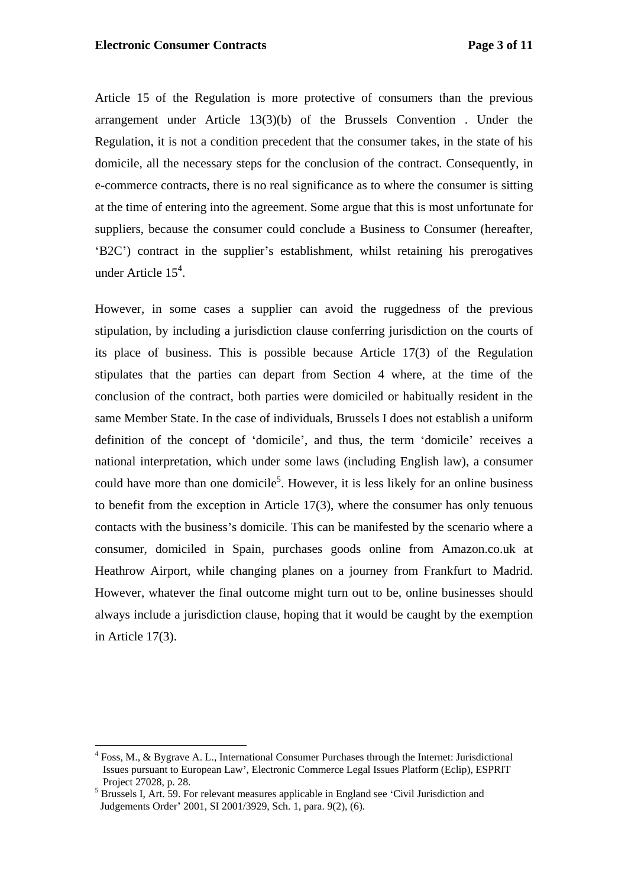Article 15 of the Regulation is more protective of consumers than the previous arrangement under Article 13(3)(b) of the Brussels Convention . Under the Regulation, it is not a condition precedent that the consumer takes, in the state of his domicile, all the necessary steps for the conclusion of the contract. Consequently, in e-commerce contracts, there is no real significance as to where the consumer is sitting at the time of entering into the agreement. Some argue that this is most unfortunate for suppliers, because the consumer could conclude a Business to Consumer (hereafter, 'B2C') contract in the supplier's establishment, whilst retaining his prerogatives under Article  $15^4$ . . A construction of the construction of the construction of the construction of the construction of the construction

However, in some cases a supplier can avoid the ruggedness of the previous stipulation, by including a jurisdiction clause conferring jurisdiction on the courts of its place of business. This is possible because Article 17(3) of the Regulation stipulates that the parties can depart from Section 4 where, at the time of the conclusion of the contract, both parties were domiciled or habitually resident in the same Member State. In the case of individuals, Brussels I does not establish a uniform definition of the concept of 'domicile', and thus, the term 'domicile' receives a national interpretation, which under some laws (including English law), a consumer could have more than one domicile<sup>5</sup>. However, it is less likely for an online business to benefit from the exception in Article 17(3), where the consumer has only tenuous contacts with the business's domicile. This can be manifested by the scenario where a consumer, domiciled in Spain, purchases goods online from Amazon.co.uk at Heathrow Airport, while changing planes on a journey from Frankfurt to Madrid. However, whatever the final outcome might turn out to be, online businesses should always include a jurisdiction clause, hoping that it would be caught by the exemption in Article 17(3).

 <sup>4</sup> Foss, M., & Bygrave A. L., International Consumer Purchases through the Internet: Jurisdictional Issues pursuant to European Law , Electronic Commerce Legal Issues Platform (Eclip), ESPRIT

 $<sup>5</sup>$  Brussels I, Art. 59. For relevant measures applicable in England see 'Civil Jurisdiction and</sup>

Judgements Order' 2001, SI 2001/3929, Sch. 1, para. 9(2), (6).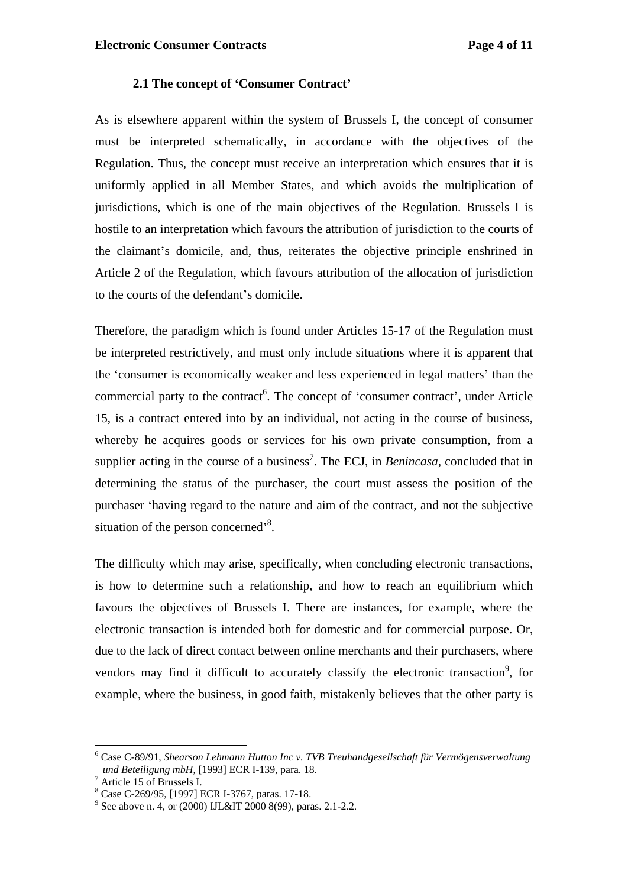### **2.1 The concept of Consumer Contract**

As is elsewhere apparent within the system of Brussels I, the concept of consumer must be interpreted schematically, in accordance with the objectives of the Regulation. Thus, the concept must receive an interpretation which ensures that it is uniformly applied in all Member States, and which avoids the multiplication of jurisdictions, which is one of the main objectives of the Regulation. Brussels I is hostile to an interpretation which favours the attribution of jurisdiction to the courts of the claimant's domicile, and, thus, reiterates the objective principle enshrined in Article 2 of the Regulation, which favours attribution of the allocation of jurisdiction

to the courts of the defendant's domicile.<br>Therefore, the paradigm which is found under Articles 15-17 of the Regulation must be interpreted restrictively, and must only include situations where it is apparent that the 'consumer is economically weaker and less experienced in legal matters' than the commercial party to the contract<sup>6</sup>. The concept of 'consumer contract', under Article 15, is a contract entered into by an individual, not acting in the course of business, whereby he acquires goods or services for his own private consumption, from a supplier acting in the course of a business<sup>7</sup>. The ECJ, in *Benincasa*, concluded that in determining the status of the purchaser, the court must assess the position of the purchaser having regard to the nature and aim of the contract, and not the subjective situation of the person concerned<sup>38</sup>. 8 and the state of the state of the state of the state of the state of the state of the state of the state of the state of the state of the state of the state of the state of the state of the state of the state of the stat

situation of the person concerned<sup>38</sup>.<br>The difficulty which may arise, specifically, when concluding electronic transactions, is how to determine such a relationship, and how to reach an equilibrium which favours the objectives of Brussels I. There are instances, for example, where the electronic transaction is intended both for domestic and for commercial purpose. Or, due to the lack of direct contact between online merchants and their purchasers, where vendors may find it difficult to accurately classify the electronic transaction<sup>9</sup>, for  $9 \text{ for}$ , for example, where the business, in good faith, mistakenly believes that the other party is

 <sup>6</sup> Case C-89/91, *Shearson Lehmann Hutton Inc v. TVB Treuhandgesellschaft für Vermögensverwaltung und Beteiligung mbH*, [1993] ECR I-139, para. 18. 7

Article 15 of Brussels I.<br><sup>8</sup> Cese C 260/05, 110071 ECP J 3767, perse, 17, 18

<sup>&</sup>lt;sup>8</sup> Case C-269/95, [1997] ECR I-3767, paras. 17-18.<br><sup>9</sup> See above n. 4, or (2000) IJL&IT 2000 8(99), paras. 2.1-2.2.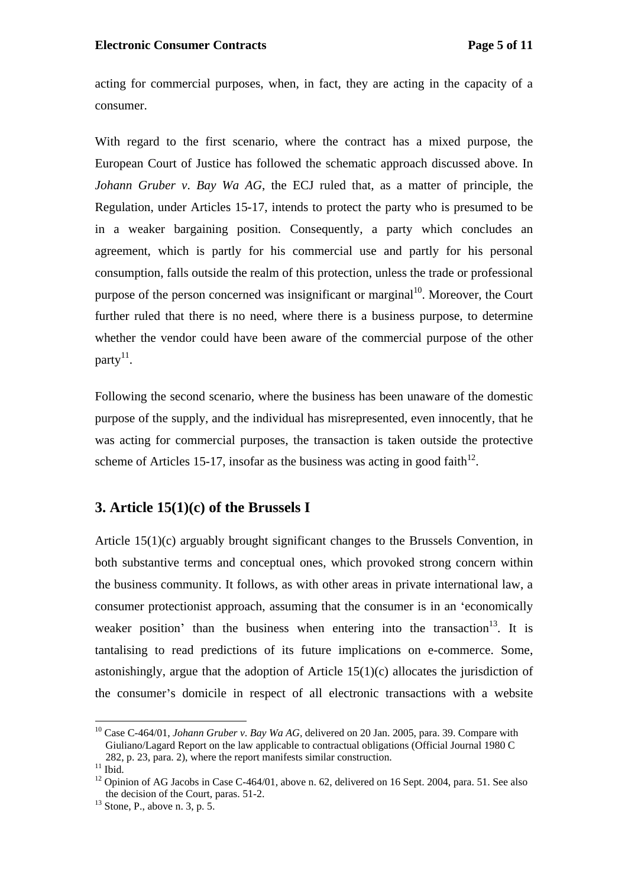acting for commercial purposes, when, in fact, they are acting in the capacity of a consumer.

With regard to the first scenario, where the contract has a mixed purpose, the European Court of Justice has followed the schematic approach discussed above. In *Johann Gruber v*. *Bay Wa AG*, the ECJ ruled that, as a matter of principle, the Regulation, under Articles 15-17, intends to protect the party who is presumed to be in a weaker bargaining position. Consequently, a party which concludes an agreement, which is partly for his commercial use and partly for his personal consumption, falls outside the realm of this protection, unless the trade or professional purpose of the person concerned was insignificant or marginal<sup>10</sup>. Moreover, the Court . Moreover, the Court further ruled that there is no need, where there is a business purpose, to determine whether the vendor could have been aware of the commercial purpose of the other  $party^{11}$ . .<br>1980 – Paris Maria de Característica de la Característica de la Característica de la Característica de la Car

Following the second scenario, where the business has been unaware of the domestic purpose of the supply, and the individual has misrepresented, even innocently, that he was acting for commercial purposes, the transaction is taken outside the protective scheme of Articles 15-17, insofar as the business was acting in good faith $12$ .

## **3. Article 15(1)(c) of the Brussels I**

Article 15(1)(c) arguably brought significant changes to the Brussels Convention, in both substantive terms and conceptual ones, which provoked strong concern within the business community. It follows, as with other areas in private international law, a consumer protectionist approach, assuming that the consumer is in an 'economically weaker position' than the business when entering into the transaction<sup>13</sup>. It is  $13 \quad \text{It} \quad \text{in}$ . It is tantalising to read predictions of its future implications on e-commerce. Some, astonishingly, argue that the adoption of Article 15(1)(c) allocates the jurisdiction of the consumer's domicile in respect of all electronic transactions with a website

 <sup>10</sup> Case C-464/01, *Johann Gruber v*. *Bay Wa AG,* delivered on 20 Jan. 2005, para. 39. Compare with Giuliano/Lagard Report on the law applicable to contractual obligations (Official Journal 1980 C 282, p. 23, para. 2), where the report manifests similar construction.

<sup>&</sup>lt;sup>11</sup> Ibid. <sup>12</sup> Opinion of AG Jacobs in Case C-464/01, above n. 62, delivered on 16 Sept. 2004, para. 51. See also the decision of the Court, paras. 51-2.

 $t^{13}$  Stone, P., above n. 3, p. 5.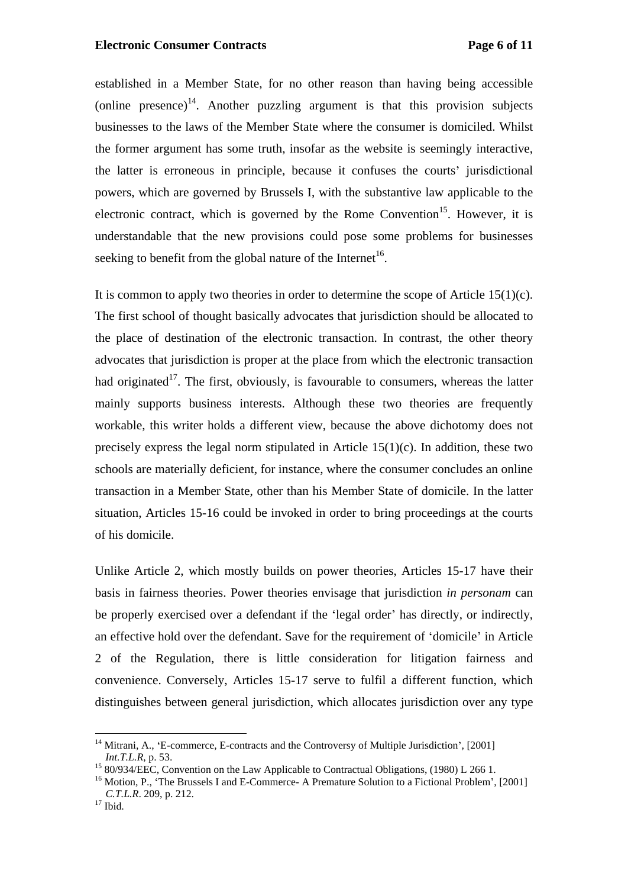#### **Electronic Consumer Contracts Page 6 of 11**

established in a Member State, for no other reason than having being accessible (online presence) $<sup>14</sup>$ . Another puzzling argument is that this provision subjects</sup> businesses to the laws of the Member State where the consumer is domiciled. Whilst the former argument has some truth, insofar as the website is seemingly interactive, the latter is erroneous in principle, because it confuses the courts' jurisdictional powers, which are governed by Brussels I, with the substantive law applicable to the electronic contract, which is governed by the Rome Convention<sup>15</sup>. However, it is  $^{15}$  However it is . However, it is understandable that the new provisions could pose some problems for businesses seeking to benefit from the global nature of the Internet<sup>16</sup>.

It is common to apply two theories in order to determine the scope of Article  $15(1)(c)$ . The first school of thought basically advocates that jurisdiction should be allocated to the place of destination of the electronic transaction. In contrast, the other theory advocates that jurisdiction is proper at the place from which the electronic transaction had originated<sup>17</sup>. The first, obviously, is favourable to consumers, whereas the latter mainly supports business interests. Although these two theories are frequently workable, this writer holds a different view, because the above dichotomy does not precisely express the legal norm stipulated in Article  $15(1)(c)$ . In addition, these two schools are materially deficient, for instance, where the consumer concludes an online transaction in a Member State, other than his Member State of domicile. In the latter situation, Articles 15-16 could be invoked in order to bring proceedings at the courts of his domicile.

Unlike Article 2, which mostly builds on power theories, Articles 15-17 have their basis in fairness theories. Power theories envisage that jurisdiction *in personam* can be properly exercised over a defendant if the 'legal order' has directly, or indirectly, an effective hold over the defendant. Save for the requirement of 'domicile' in Article 2 of the Regulation, there is little consideration for litigation fairness and convenience. Conversely, Articles 15-17 serve to fulfil a different function, which distinguishes between general jurisdiction, which allocates jurisdiction over any type

<sup>&</sup>lt;sup>14</sup> Mitrani, A., 'E-commerce, E-contracts and the Controversy of Multiple Jurisdiction', [2001]

*Int.T.L.R*, p. 53.<br><sup>15</sup> 80/934/EEC, Convention on the Law Applicable to Contractual Obligations, (1980) L 266 1.<br><sup>16</sup> Motion, P., 'The Brussels I and E-Commerce- A Premature Solution to a Fictional Problem', [2001]

*C.T.L.R.* 209, p. 212. 17 Ibid.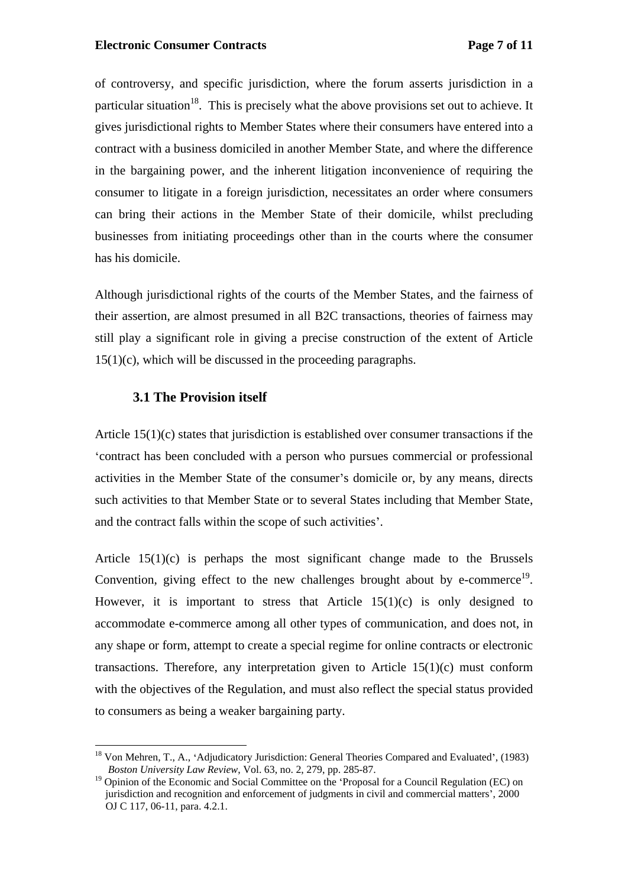of controversy, and specific jurisdiction, where the forum asserts jurisdiction in a particular situation<sup>18</sup>. This is precisely what the above provisions set out to achieve. It gives jurisdictional rights to Member States where their consumers have entered into a contract with a business domiciled in another Member State, and where the difference in the bargaining power, and the inherent litigation inconvenience of requiring the consumer to litigate in a foreign jurisdiction, necessitates an order where consumers can bring their actions in the Member State of their domicile, whilst precluding businesses from initiating proceedings other than in the courts where the consumer has his domicile.

Although jurisdictional rights of the courts of the Member States, and the fairness of their assertion, are almost presumed in all B2C transactions, theories of fairness may still play a significant role in giving a precise construction of the extent of Article 15(1)(c), which will be discussed in the proceeding paragraphs.

### **3.1 The Provision itself**

Article  $15(1)(c)$  states that jurisdiction is established over consumer transactions if the contract has been concluded with a person who pursues commercial or professional activities in the Member State of the consumer's domicile or, by any means, directs such activities to that Member State or to several States including that Member State, and the contract falls within the scope of such activities'.

Article 15(1)(c) is perhaps the most significant change made to the Brussels Convention, giving effect to the new challenges brought about by e-commerce<sup>19</sup>.<br>However, it is important to stress that Article  $15(1)(c)$  is only designed to accommodate e-commerce among all other types of communication, and does not, in any shape or form, attempt to create a special regime for online contracts or electronic transactions. Therefore, any interpretation given to Article  $15(1)(c)$  must conform with the objectives of the Regulation, and must also reflect the special status provided to consumers as being a weaker bargaining party.

<sup>&</sup>lt;sup>18</sup> Von Mehren, T., A., 'Adjudicatory Jurisdiction: General Theories Compared and Evaluated', (1983) *Boston University Law Review*, Vol. 63, no. 2, 279, pp. 285-87.

<sup>&</sup>lt;sup>19</sup> Opinion of the Economic and Social Committee on the 'Proposal for a Council Regulation (EC) on jurisdiction and recognition and enforcement of judgments in civil and commercial matters , 2000 OJ C 117, 06-11, para. 4.2.1.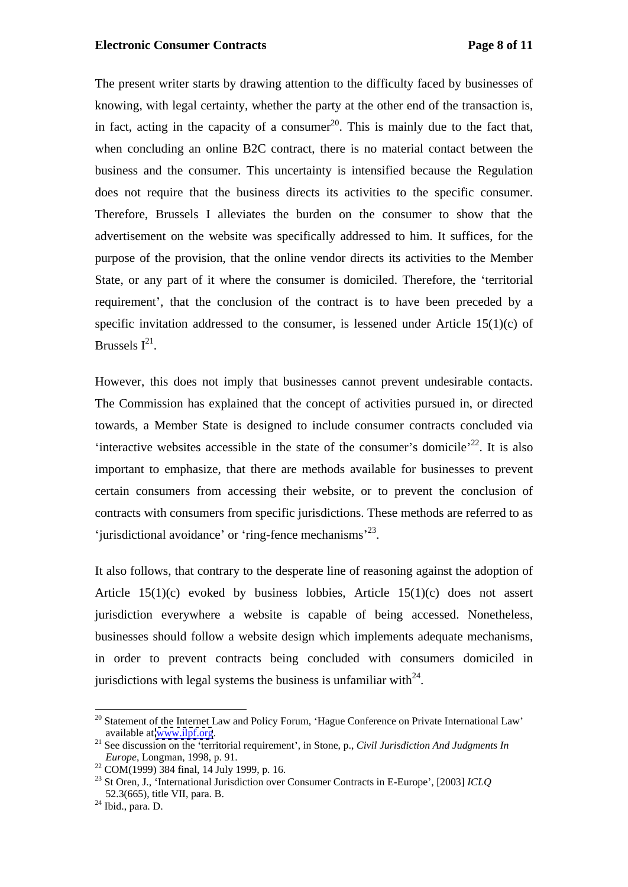The present writer starts by drawing attention to the difficulty faced by businesses of knowing, with legal certainty, whether the party at the other end of the transaction is, in fact, acting in the capacity of a consumer<sup>20</sup>. This is mainly due to the fact that, when concluding an online B2C contract, there is no material contact between the business and the consumer. This uncertainty is intensified because the Regulation does not require that the business directs its activities to the specific consumer. Therefore, Brussels I alleviates the burden on the consumer to show that the advertisement on the website was specifically addressed to him. It suffices, for the purpose of the provision, that the online vendor directs its activities to the Member State, or any part of it where the consumer is domiciled. Therefore, the 'territorial requirement', that the conclusion of the contract is to have been preceded by a specific invitation addressed to the consumer, is lessened under Article 15(1)(c) of Brussels  $I^{21}$ . Brussels I<sup>21</sup>.<br>However, this does not imply that businesses cannot prevent undesirable contacts.

The Commission has explained that the concept of activities pursued in, or directed towards, a Member State is designed to include consumer contracts concluded via 'interactive websites accessible in the state of the consumer's domicile<sup> $22$ </sup>. It is also 22 It is also . It is also important to emphasize, that there are methods available for businesses to prevent certain consumers from accessing their website, or to prevent the conclusion of contracts with consumers from specific jurisdictions. These methods are referred to as 'jurisdictional avoidance' or 'ring-fence mechanisms $^{23}$ .

'jurisdictional avoidance' or 'ring-fence mechanisms'<sup>23</sup>.<br>It also follows, that contrary to the desperate line of reasoning against the adoption of Article 15(1)(c) evoked by business lobbies, Article 15(1)(c) does not assert jurisdiction everywhere a website is capable of being accessed. Nonetheless, businesses should follow a website design which implements adequate mechanisms, in order to prevent contracts being concluded with consumers domiciled in jurisdictions with legal systems the business is unfamiliar with $^{24}$ . . The contract of the contract of the contract of the contract of the contract of the contract of the contract<br>The contract of the contract of the contract of the contract of the contract of the contract of the contract o

<sup>&</sup>lt;sup>20</sup> Statement of the Internet Law and Policy Forum, 'Hague Conference on Private International Law'

available at <u>www.ilpf.org</u>.<br><sup>21</sup> See discussion on the 'territorial requirement', in Stone, p., *Civil Jurisdiction And Judgments In Europe*, Longman, 1998, p. 91.

*Europe*, Longman, 1998, p. 91.<br><sup>22</sup> COM(1999) 384 final, 14 July 1999, p. 16.<br><sup>23</sup> St Oren, J., 'International Jurisdiction over Consumer Contracts in E-Europe', [2003] *ICLQ* 52.3(665), title VII, para. B.<br><sup>24</sup> Ibid., para. D.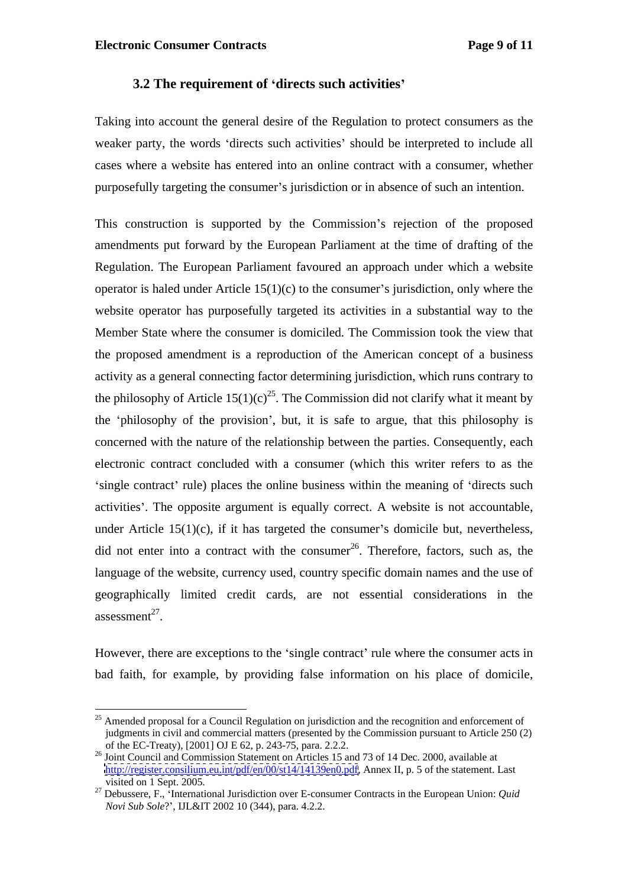### **3.2 The requirement of directs such activities**

Taking into account the general desire of the Regulation to protect consumers as the weaker party, the words 'directs such activities' should be interpreted to include all cases where a website has entered into an online contract with a consumer, whether purposefully targeting the consumer's jurisdiction or in absence of such an intention.

This construction is supported by the Commission's rejection of the proposed amendments put forward by the European Parliament at the timeof drafting of the Regulation. The European Parliament favoured an approach under which a website operator is haled under Article  $15(1)(c)$  to the consumer's jurisdiction, only where the website operator has purposefully targeted its activities in a substantial way to the Member State where the consumer is domiciled. The Commission took the view that the proposed amendment is a reproduction of the American concept of a business activity as a general connecting factor determining jurisdiction, which runs contrary to the philosophy of Article 15(1)(c)<sup>25</sup>. The Commission did not clarify what it meant by the 'philosophy of the provision', but, it is safe to argue, that this philosophy is concerned with the nature of the relationship between the parties. Consequently, each electronic contract concluded with a consumer (which this writer refers to as the single contract rule) places the online business within the meaning of 'directs such activities'. The opposite argument is equally correct. A website is not accountable, under Article  $15(1)(c)$ , if it has targeted the consumer's domicile but, nevertheless, did not enter into a contract with the consumer<sup>26</sup>. Therefore, factors, such as, the language of the website, currency used, country specific domain names and the use of geographically limited credit cards, are not essential considerations in the  $\lambda$ assessment<sup>27</sup>. . A construction of the construction of the construction of the construction of the construction of the constr<br>The construction of the construction of the construction of the construction of the construction of the constr

However, there are exceptions to the 'single contract' rule where the consumer acts in bad faith, for example, by providing false information on his place of domicile,

<sup>&</sup>lt;sup>25</sup> Amended proposal for a Council Regulation on jurisdiction and the recognition and enforcement of judgments in civil and commercial matters (presented by the Commission pursuant to Article 250 (2) of the EC-Treaty), [2001] OJ E 62, p. 243-75, para. 2.2.2.

 $^{26}$  Joint Council and Commission Statement on Articles 15 and 73 of 14 Dec. 2000, available at [http://register.consilium.eu.int/pdf/en/00/st14/14139en0.pdf,](http://register.consilium.eu.int/pdf/en/00/st14/14139en0.pdf) Annex II, p. 5 of the statement. Last visited on 1 Sept. 2005.

<sup>&</sup>lt;sup>27</sup> Debussere, F., <sup>T</sup>international Jurisdiction over E-consumer Contracts in the European Union: *Quid Novi Sub Sole*? , IJL&IT 2002 10 (344), para. 4.2.2.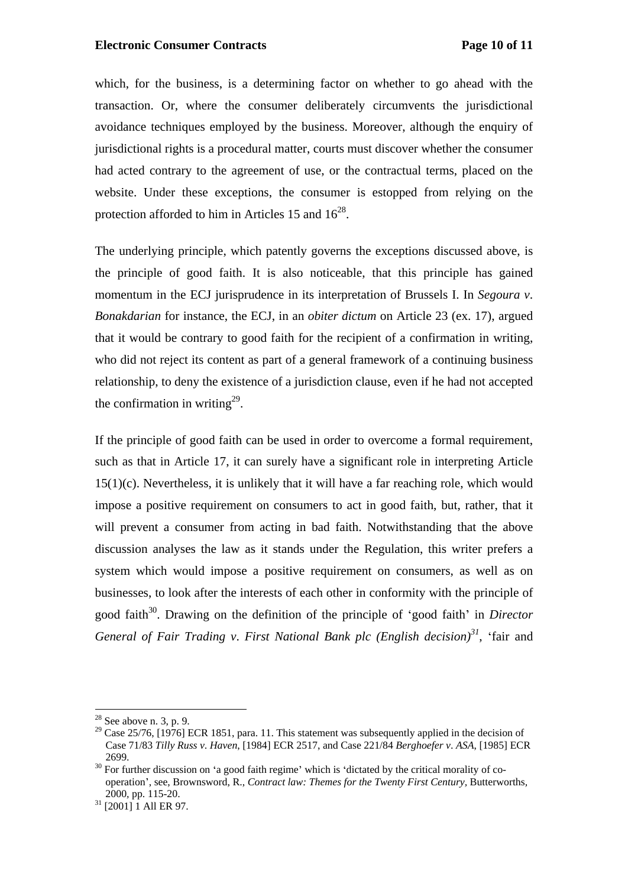#### **Electronic Consumer Contracts Page 10 of 11**

which, for the business, is a determining factor on whether to go ahead with the transaction. Or, where the consumer deliberately circumvents the jurisdictional avoidance techniques employed by the business. Moreover, although the enquiry of jurisdictional rights is a procedural matter, courts must discover whether the consumer had acted contrary to the agreement of use, or the contractual terms, placed on the website. Under these exceptions, the consumer is estopped from relying on the protection afforded to him in Articles 15 and  $16^{28}$ . protection afforded to him in Articles 15 and  $16^{28}$ .<br>The underlying principle, which patently governs the exceptions discussed above, is

the principle of good faith. It is also noticeable, that this principle has gained momentum in the ECJ jurisprudence in its interpretation of Brussels I. In *Segoura v*. *Bonakdarian* for instance, the ECJ, in an *obiter dictum* on Article 23 (ex. 17), argued that it would be contrary to good faith for the recipient of a confirmation in writing, who did not reject its content as part of a general framework of a continuing business relationship, to deny the existence of a jurisdiction clause, even if he had not accepted the confirmation in writing<sup>29</sup>. . A construction of the construction of the construction of the construction of the construction of the constr<br>The construction of the construction of the construction of the construction of the construction of the constr

If the principle of good faith can be used in order to overcome a formal requirement, such as that in Article 17, it can surely have a significant role in interpreting Article 15(1)(c). Nevertheless, it is unlikely that it will have a far reaching role, which would impose a positive requirement on consumers to act in good faith, but, rather, that it will prevent a consumer from acting in bad faith. Notwithstanding that the above discussion analyses the law as it stands under the Regulation, this writer prefers a system which would impose a positive requirement on consumers, as well as on businesses, to look after the interests of each other in conformity with the principle of good faith<sup>30</sup>. Drawing on the definition of the principle of 'good faith' in *Director General of Fair Trading v. First National Bank plc (English decision)*<sup>31</sup>, 'fair and , fair and

 $2^8$  See above n. 3, p. 9.

<sup>&</sup>lt;sup>29</sup> Case 25/76, [1976] ECR 1851, para. 11. This statement was subsequently applied in the decision of Case 71/83 *Tilly Russ v*. *Haven*, [1984] ECR 2517, and Case 221/84 *Berghoefer v*. *ASA*, [1985] ECR

<sup>2699.&</sup>lt;br><sup>30</sup> For further discussion on 'a good faith regime' which is 'dictated by the critical morality of co operation , see, Brownsword, R., *Contract law: Themes for the Twenty First Century,* Butterworths*,* 2000, pp. 115-20.<br><sup>31</sup> [2001] 1 All ER 97.